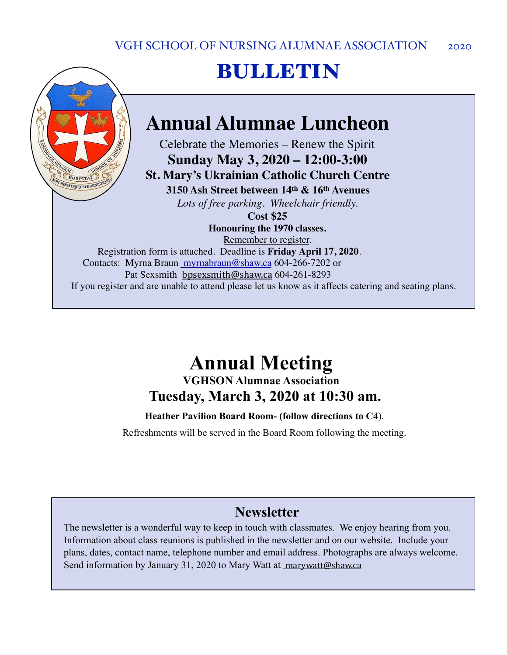# BULLETIN

## **Annual Alumnae Luncheon**

Celebrate the Memories – Renew the Spirit **Sunday May 3, 2020 – 12:00-3:00 St. Mary's Ukrainian Catholic Church Centre 3150 Ash Street between 14th & 16th Avenues**

*Lots of free parking. Wheelchair friendly.*

HOSPITAL NON MINISTRARI, SED MINIS

> **Cost \$25 Honouring the 1970 classes.**

> > Remember to register.

Registration form is attached. Deadline is **Friday April 17, 2020**. Contacts: Myrna Braun [myrnabraun@shaw.ca](mailto:myrnabraun@shaw.ca) 604-266-7202 or Pat Sexsmith [bpsexsmith@shaw.ca](mailto:bpsexsmith@shaw.ca) 604-261-8293 If you register and are unable to attend please let us know as it affects catering and seating plans.

### **Annual Meeting VGHSON Alumnae Association**

**Tuesday, March 3, 2020 at 10:30 am.** 

**Heather Pavilion Board Room- (follow directions to C4**).

Refreshments will be served in the Board Room following the meeting.

### **Newsletter**

The newsletter is a wonderful way to keep in touch with classmates. We enjoy hearing from you. Information about class reunions is published in the newsletter and on our website. Include your plans, dates, contact name, telephone number and email address. Photographs are always welcome. Send information by January 31, 2020 to Mary Watt at [marywatt@shaw.ca](mailto:marywatt@shaw.ca)